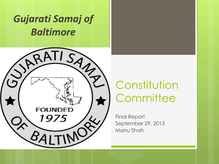#### *Gujarati Samaj of Baltimore*



## Constitution **Committee**

Final Report September 29, 2013 Manu Shah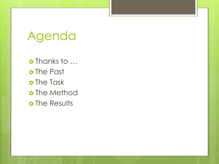# Agenda

o Thanks to ... o The Past o The Task o The Method o The Results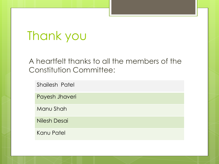# Thank you

#### A heartfelt thanks to all the members of the Constitution Committee:

Shailesh Patel

Payesh Jhaveri

Manu Shah

Nilesh Desai

Kanu Patel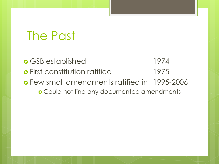## The Past

 GSB established 1974 **o** First constitution ratified 1975 Few small amendments ratified in 1995-2006 Could not find any documented amendments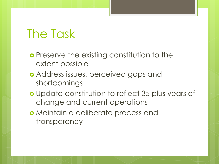#### The Task

- **o** Preserve the existing constitution to the extent possible
- Address issues, perceived gaps and shortcomings
- o Update constitution to reflect 35 plus years of change and current operations
- Maintain a deliberate process and transparency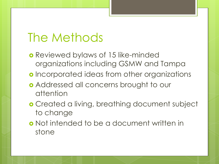## The Methods

- Reviewed bylaws of 15 like-minded organizations including GSMW and Tampa
- **o** Incorporated ideas from other organizations
- Addressed all concerns brought to our attention
- **o** Created a living, breathing document subject to change
- Not intended to be a document written in stone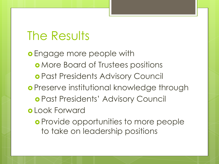**o** Engage more people with **o** More Board of Trustees positions Past Presidents Advisory Council **o** Preserve institutional knowledge through Past Presidents' Advisory Council Look Forward **o** Provide opportunities to more people

to take on leadership positions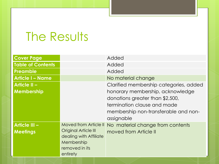| <b>Cover Page</b>                       |                                                                                                                                   | Added                                                                                                                                                    |
|-----------------------------------------|-----------------------------------------------------------------------------------------------------------------------------------|----------------------------------------------------------------------------------------------------------------------------------------------------------|
| Table of Contents                       |                                                                                                                                   | Added                                                                                                                                                    |
| <b>Preamble</b>                         |                                                                                                                                   | Added                                                                                                                                                    |
| <b>Article I - Name</b>                 |                                                                                                                                   | No material change                                                                                                                                       |
| <b>Article II -</b>                     |                                                                                                                                   | Clarified membership categories, added                                                                                                                   |
| Membership                              |                                                                                                                                   | honorary membership, acknowledge<br>donations greater than \$2,500,<br>termination clause and made<br>membership non-transferable and non-<br>assignable |
| <b>Article III -</b><br><b>Meetings</b> | <b>Moved from Article II</b><br><b>Original Article III</b><br>dealing with Affiliate<br>Membership<br>removed in its<br>entirety | No material change from contents<br>moved from Article II                                                                                                |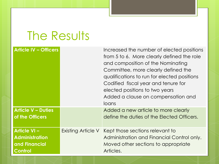| <b>Article IV - Officers</b>                                                   |                    | Increased the number of elected positions<br>from 5 to 6. More clearly defined the role<br>and composition of the Nominating<br>Committee, more clearly defined the<br>qualifications to run for elected positions<br>Codified fiscal year and tenure for<br>elected positions to two years<br>Added a clause on compensation and<br>loans |
|--------------------------------------------------------------------------------|--------------------|--------------------------------------------------------------------------------------------------------------------------------------------------------------------------------------------------------------------------------------------------------------------------------------------------------------------------------------------|
| <b>Article V - Duties</b><br>of the Officers                                   |                    | Added a new article to more clearly<br>define the duties of the Elected Officers.                                                                                                                                                                                                                                                          |
| <b>Article VI-</b><br><b>Administration</b><br>and Financial<br><b>Control</b> | Existing Article V | Kept those sections relevant to<br>Administration and Financial Control only.<br>Moved other sections to appropriate<br>Articles.                                                                                                                                                                                                          |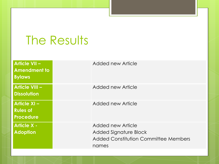| <b>Article VII -</b><br><b>Amendment to</b><br><b>Bylaws</b> | Added new Article                                                                           |
|--------------------------------------------------------------|---------------------------------------------------------------------------------------------|
| <b>Article VIII -</b><br><b>Dissolution</b>                  | Added new Article                                                                           |
| <b>Article XI-</b><br><b>Rules of</b><br><b>Procedure</b>    | Added new Article                                                                           |
| <b>Article X -</b><br><b>Adoption</b>                        | Added new Article<br>Added Signature Block<br>Added Constitution Committee Members<br>names |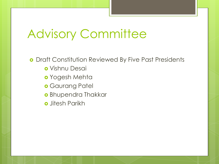### Advisory Committee

**o** Draft Constitution Reviewed By Five Past Presidents Vishnu Desai Yogesh Mehta **o** Gaurang Patel **o** Bhupendra Thakkar **o** Jitesh Parikh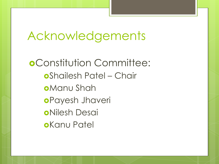## Acknowledgements

Constitution Committee: Shailesh Patel – Chair Manu Shah Payesh Jhaveri Nilesh Desai **o**Kanu Patel